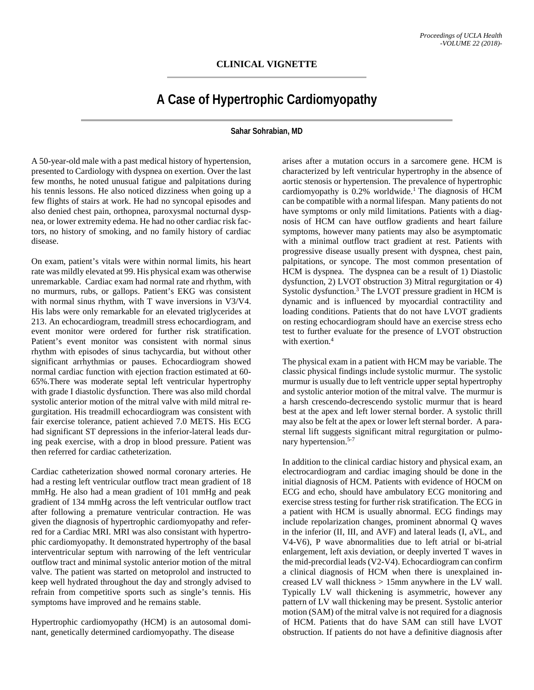## **CLINICAL VIGNETTE**

## **A Case of Hypertrophic Cardiomyopathy**

## **Sahar Sohrabian, MD**

A 50-year-old male with a past medical history of hypertension, presented to Cardiology with dyspnea on exertion. Over the last few months, he noted unusual fatigue and palpitations during his tennis lessons. He also noticed dizziness when going up a few flights of stairs at work. He had no syncopal episodes and also denied chest pain, orthopnea, paroxysmal nocturnal dyspnea, or lower extremity edema. He had no other cardiac risk factors, no history of smoking, and no family history of cardiac disease.

On exam, patient's vitals were within normal limits, his heart rate was mildly elevated at 99. His physical exam was otherwise unremarkable. Cardiac exam had normal rate and rhythm, with no murmurs, rubs, or gallops. Patient's EKG was consistent with normal sinus rhythm, with T wave inversions in V3/V4. His labs were only remarkable for an elevated triglycerides at 213. An echocardiogram, treadmill stress echocardiogram, and event monitor were ordered for further risk stratification. Patient's event monitor was consistent with normal sinus rhythm with episodes of sinus tachycardia, but without other significant arrhythmias or pauses. Echocardiogram showed normal cardiac function with ejection fraction estimated at 60- 65%.There was moderate septal left ventricular hypertrophy with grade I diastolic dysfunction. There was also mild chordal systolic anterior motion of the mitral valve with mild mitral regurgitation. His treadmill echocardiogram was consistent with fair exercise tolerance, patient achieved 7.0 METS. His ECG had significant ST depressions in the inferior-lateral leads during peak exercise, with a drop in blood pressure. Patient was then referred for cardiac catheterization.

Cardiac catheterization showed normal coronary arteries. He had a resting left ventricular outflow tract mean gradient of 18 mmHg. He also had a mean gradient of 101 mmHg and peak gradient of 134 mmHg across the left ventricular outflow tract after following a premature ventricular contraction. He was given the diagnosis of hypertrophic cardiomyopathy and referred for a Cardiac MRI. MRI was also consistant with hypertrophic cardiomyopathy. It demonstrated hypertrophy of the basal interventricular septum with narrowing of the left ventricular outflow tract and minimal systolic anterior motion of the mitral valve. The patient was started on metoprolol and instructed to keep well hydrated throughout the day and strongly advised to refrain from competitive sports such as single's tennis. His symptoms have improved and he remains stable.

Hypertrophic cardiomyopathy (HCM) is an autosomal dominant, genetically determined cardiomyopathy. The disease

arises after a mutation occurs in a sarcomere gene. HCM is characterized by left ventricular hypertrophy in the absence of aortic stenosis or hypertension. The prevalence of hypertrophic cardiomyopathy is 0.2% worldwide. <sup>1</sup> The diagnosis of HCM can be compatible with a normal lifespan. Many patients do not have symptoms or only mild limitations. Patients with a diagnosis of HCM can have outflow gradients and heart failure symptoms, however many patients may also be asymptomatic with a minimal outflow tract gradient at rest. Patients with progressive disease usually present with dyspnea, chest pain, palpitations, or syncope. The most common presentation of HCM is dyspnea. The dyspnea can be a result of 1) Diastolic dysfunction, 2) LVOT obstruction 3) Mitral regurgitation or 4) Systolic dysfunction. <sup>3</sup> The LVOT pressure gradient in HCM is dynamic and is influenced by myocardial contractility and loading conditions. Patients that do not have LVOT gradients on resting echocardiogram should have an exercise stress echo test to further evaluate for the presence of LVOT obstruction with exertion. 4

The physical exam in a patient with HCM may be variable. The classic physical findings include systolic murmur. The systolic murmur is usually due to left ventricle upper septal hypertrophy and systolic anterior motion of the mitral valve. The murmur is a harsh crescendo-decrescendo systolic murmur that is heard best at the apex and left lower sternal border. A systolic thrill may also be felt at the apex or lower left sternal border. A parasternal lift suggests significant mitral regurgitation or pulmonary hypertension.<sup>5-7</sup>

In addition to the clinical cardiac history and physical exam, an electrocardiogram and cardiac imaging should be done in the initial diagnosis of HCM. Patients with evidence of HOCM on ECG and echo, should have ambulatory ECG monitoring and exercise stress testing for further risk stratification. The ECG in a patient with HCM is usually abnormal. ECG findings may include repolarization changes, prominent abnormal Q waves in the inferior (II, III, and AVF) and lateral leads (I, aVL, and V4-V6), P wave abnormalities due to left atrial or bi-atrial enlargement, left axis deviation, or deeply inverted T waves in the mid-precordial leads (V2-V4). Echocardiogram can confirm a clinical diagnosis of HCM when there is unexplained increased LV wall thickness > 15mm anywhere in the LV wall. Typically LV wall thickening is asymmetric, however any pattern of LV wall thickening may be present. Systolic anterior motion (SAM) of the mitral valve is not required for a diagnosis of HCM. Patients that do have SAM can still have LVOT obstruction. If patients do not have a definitive diagnosis after